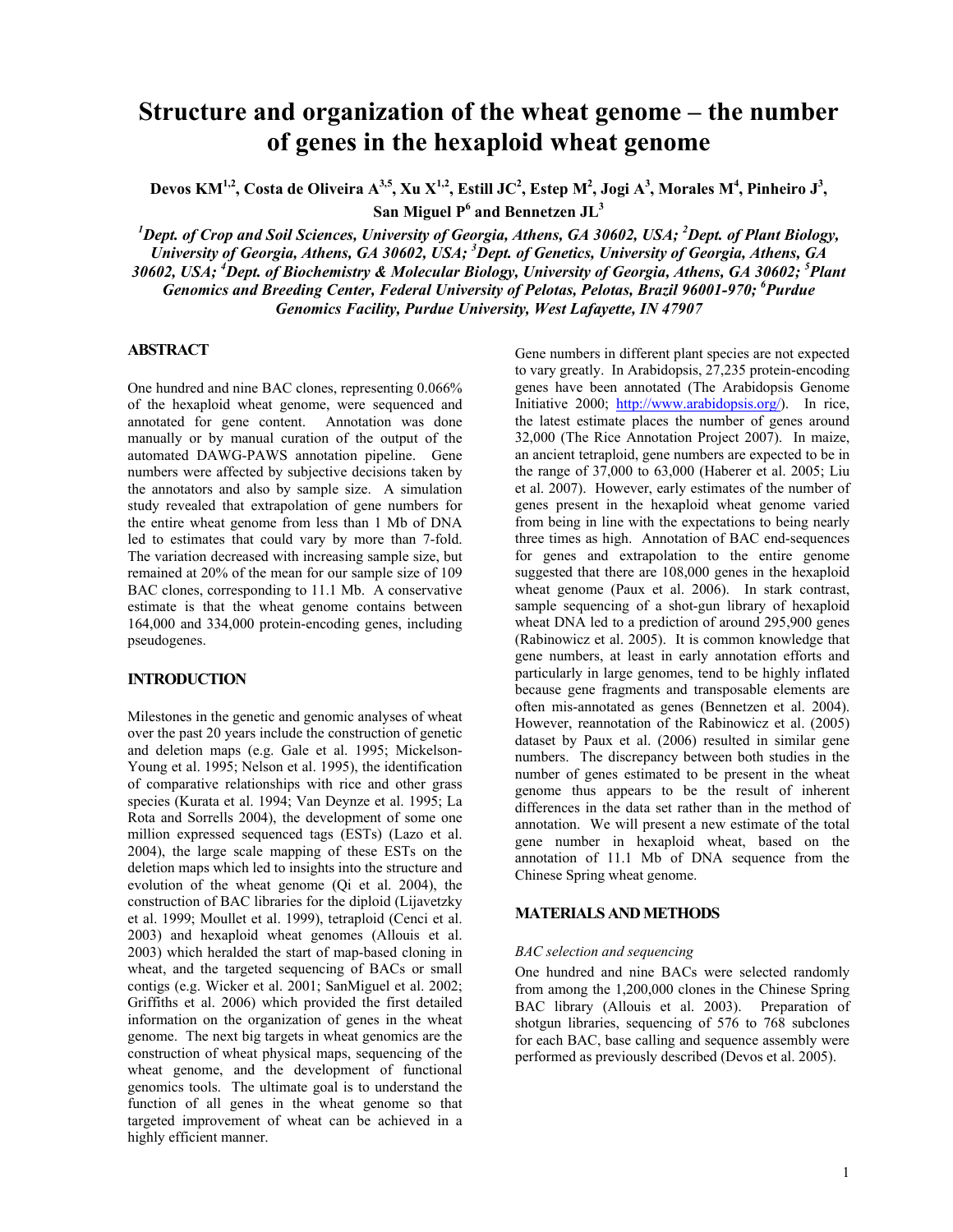# **Structure and organization of the wheat genome – the number of genes in the hexaploid wheat genome**

Devos KM<sup>1,2</sup>, Costa de Oliveira A<sup>3,5</sup>, Xu X<sup>1,2</sup>, Estill JC<sup>2</sup>, Estep M<sup>2</sup>, Jogi A<sup>3</sup>, Morales M<sup>4</sup>, Pinheiro J<sup>3</sup>, San Miguel P<sup>6</sup> and Bennetzen JL<sup>3</sup>

<sup>1</sup>Dept. of Crop and Soil Sciences, University of Georgia, Athens, GA 30602, USA; <sup>2</sup>Dept. of Plant Biology, *University of Georgia, Athens, GA 30602, USA; <sup>3</sup> Dept. of Genetics, University of Georgia, Athens, GA 30602, USA; <sup>4</sup> Dept. of Biochemistry & Molecular Biology, University of Georgia, Athens, GA 30602; <sup>5</sup> Plant Genomics and Breeding Center, Federal University of Pelotas, Pelotas, Brazil 96001-970; 6 Purdue Genomics Facility, Purdue University, West Lafayette, IN 47907* 

## **ABSTRACT**

One hundred and nine BAC clones, representing 0.066% of the hexaploid wheat genome, were sequenced and annotated for gene content. Annotation was done manually or by manual curation of the output of the automated DAWG-PAWS annotation pipeline. Gene numbers were affected by subjective decisions taken by the annotators and also by sample size. A simulation study revealed that extrapolation of gene numbers for the entire wheat genome from less than 1 Mb of DNA led to estimates that could vary by more than 7-fold. The variation decreased with increasing sample size, but remained at 20% of the mean for our sample size of 109 BAC clones, corresponding to 11.1 Mb. A conservative estimate is that the wheat genome contains between 164,000 and 334,000 protein-encoding genes, including pseudogenes.

#### **INTRODUCTION**

Milestones in the genetic and genomic analyses of wheat over the past 20 years include the construction of genetic and deletion maps (e.g. Gale et al. 1995; Mickelson-Young et al. 1995; Nelson et al. 1995), the identification of comparative relationships with rice and other grass species (Kurata et al. 1994; Van Deynze et al. 1995; La Rota and Sorrells 2004), the development of some one million expressed sequenced tags (ESTs) (Lazo et al. 2004), the large scale mapping of these ESTs on the deletion maps which led to insights into the structure and evolution of the wheat genome (Qi et al. 2004), the construction of BAC libraries for the diploid (Lijavetzky et al. 1999; Moullet et al. 1999), tetraploid (Cenci et al. 2003) and hexaploid wheat genomes (Allouis et al. 2003) which heralded the start of map-based cloning in wheat, and the targeted sequencing of BACs or small contigs (e.g. Wicker et al. 2001; SanMiguel et al. 2002; Griffiths et al. 2006) which provided the first detailed information on the organization of genes in the wheat genome. The next big targets in wheat genomics are the construction of wheat physical maps, sequencing of the wheat genome, and the development of functional genomics tools. The ultimate goal is to understand the function of all genes in the wheat genome so that targeted improvement of wheat can be achieved in a highly efficient manner.

Gene numbers in different plant species are not expected to vary greatly. In Arabidopsis, 27,235 protein-encoding genes have been annotated (The Arabidopsis Genome Initiative 2000; http://www.arabidopsis.org/). In rice, the latest estimate places the number of genes around 32,000 (The Rice Annotation Project 2007). In maize, an ancient tetraploid, gene numbers are expected to be in the range of 37,000 to 63,000 (Haberer et al. 2005; Liu et al. 2007). However, early estimates of the number of genes present in the hexaploid wheat genome varied from being in line with the expectations to being nearly three times as high. Annotation of BAC end-sequences for genes and extrapolation to the entire genome suggested that there are 108,000 genes in the hexaploid wheat genome (Paux et al. 2006). In stark contrast, sample sequencing of a shot-gun library of hexaploid wheat DNA led to a prediction of around 295,900 genes (Rabinowicz et al. 2005). It is common knowledge that gene numbers, at least in early annotation efforts and particularly in large genomes, tend to be highly inflated because gene fragments and transposable elements are often mis-annotated as genes (Bennetzen et al. 2004). However, reannotation of the Rabinowicz et al. (2005) dataset by Paux et al. (2006) resulted in similar gene numbers. The discrepancy between both studies in the number of genes estimated to be present in the wheat genome thus appears to be the result of inherent differences in the data set rather than in the method of annotation. We will present a new estimate of the total gene number in hexaploid wheat, based on the annotation of 11.1 Mb of DNA sequence from the Chinese Spring wheat genome.

#### **MATERIALS AND METHODS**

#### *BAC selection and sequencing*

One hundred and nine BACs were selected randomly from among the 1,200,000 clones in the Chinese Spring BAC library (Allouis et al. 2003). Preparation of shotgun libraries, sequencing of 576 to 768 subclones for each BAC, base calling and sequence assembly were performed as previously described (Devos et al. 2005).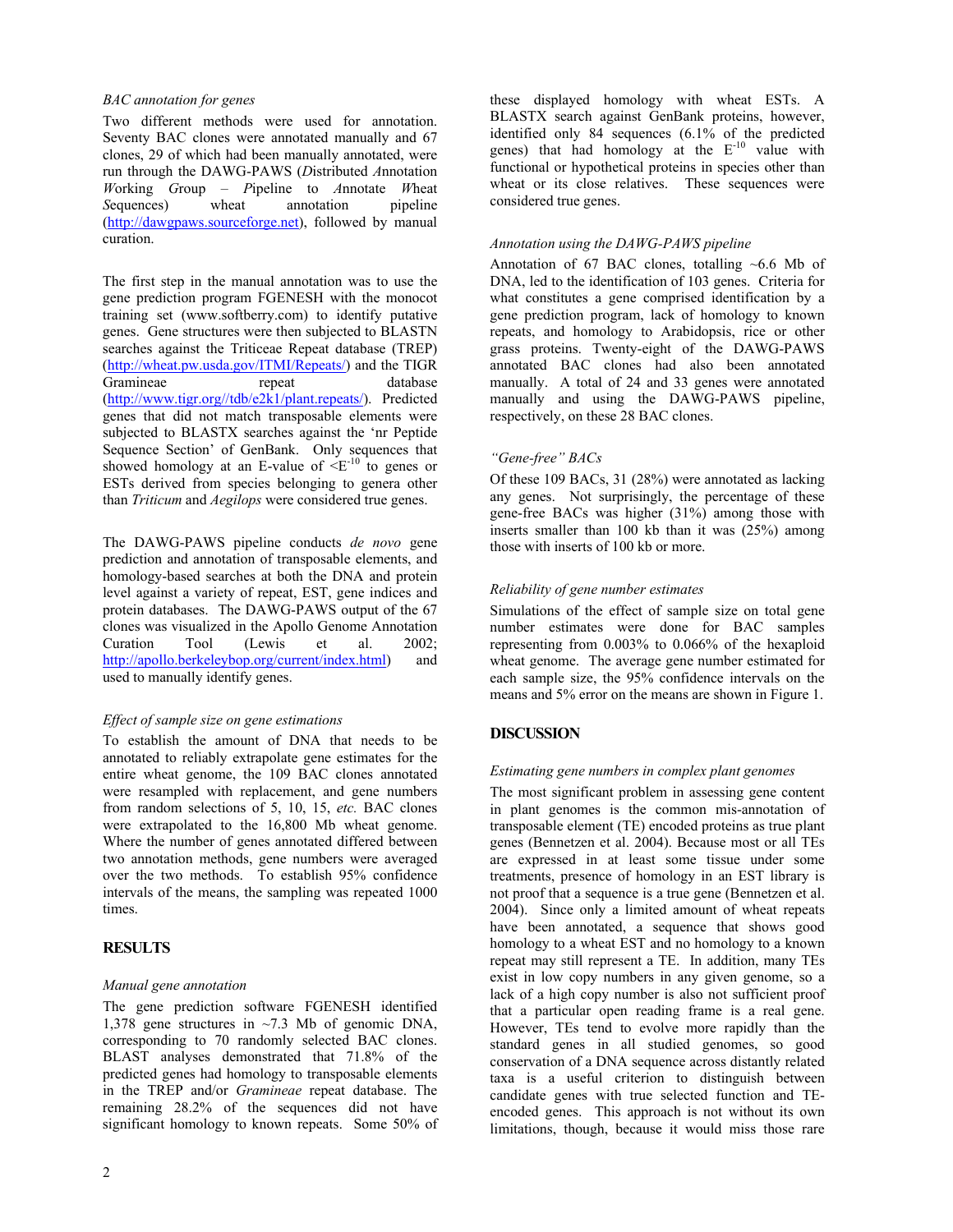#### *BAC annotation for genes*

Two different methods were used for annotation. Seventy BAC clones were annotated manually and 67 clones, 29 of which had been manually annotated, were run through the DAWG-PAWS (*D*istributed *A*nnotation *W*orking *G*roup – *P*ipeline to *A*nnotate *W*heat *Sequences*) wheat annotation pipeline (http://dawgpaws.sourceforge.net), followed by manual curation.

The first step in the manual annotation was to use the gene prediction program FGENESH with the monocot training set (www.softberry.com) to identify putative genes. Gene structures were then subjected to BLASTN searches against the Triticeae Repeat database (TREP) (http://wheat.pw.usda.gov/ITMI/Repeats/) and the TIGR Gramineae repeat database (http://www.tigr.org//tdb/e2k1/plant.repeats/). Predicted genes that did not match transposable elements were subjected to BLASTX searches against the 'nr Peptide Sequence Section' of GenBank. Only sequences that showed homology at an E-value of  $\leq E^{-10}$  to genes or ESTs derived from species belonging to genera other than *Triticum* and *Aegilops* were considered true genes.

The DAWG-PAWS pipeline conducts *de novo* gene prediction and annotation of transposable elements, and homology-based searches at both the DNA and protein level against a variety of repeat, EST, gene indices and protein databases. The DAWG-PAWS output of the 67 clones was visualized in the Apollo Genome Annotation Curation Tool (Lewis et al. 2002; http://apollo.berkeleybop.org/current/index.html) and used to manually identify genes.

## *Effect of sample size on gene estimations*

To establish the amount of DNA that needs to be annotated to reliably extrapolate gene estimates for the entire wheat genome, the 109 BAC clones annotated were resampled with replacement, and gene numbers from random selections of 5, 10, 15, *etc.* BAC clones were extrapolated to the 16,800 Mb wheat genome. Where the number of genes annotated differed between two annotation methods, gene numbers were averaged over the two methods. To establish 95% confidence intervals of the means, the sampling was repeated 1000 times.

## **RESULTS**

## *Manual gene annotation*

The gene prediction software FGENESH identified 1,378 gene structures in ~7.3 Mb of genomic DNA, corresponding to 70 randomly selected BAC clones. BLAST analyses demonstrated that 71.8% of the predicted genes had homology to transposable elements in the TREP and/or *Gramineae* repeat database. The remaining 28.2% of the sequences did not have significant homology to known repeats. Some 50% of these displayed homology with wheat ESTs. A BLASTX search against GenBank proteins, however, identified only 84 sequences (6.1% of the predicted genes) that had homology at the  $E^{-10}$  value with functional or hypothetical proteins in species other than wheat or its close relatives. These sequences were considered true genes.

#### *Annotation using the DAWG-PAWS pipeline*

Annotation of 67 BAC clones, totalling ~6.6 Mb of DNA, led to the identification of 103 genes. Criteria for what constitutes a gene comprised identification by a gene prediction program, lack of homology to known repeats, and homology to Arabidopsis, rice or other grass proteins. Twenty-eight of the DAWG-PAWS annotated BAC clones had also been annotated manually. A total of 24 and 33 genes were annotated manually and using the DAWG-PAWS pipeline, respectively, on these 28 BAC clones.

## *"Gene-free" BACs*

Of these 109 BACs, 31 (28%) were annotated as lacking any genes. Not surprisingly, the percentage of these gene-free BACs was higher (31%) among those with inserts smaller than 100 kb than it was (25%) among those with inserts of 100 kb or more.

## *Reliability of gene number estimates*

Simulations of the effect of sample size on total gene number estimates were done for BAC samples representing from 0.003% to 0.066% of the hexaploid wheat genome. The average gene number estimated for each sample size, the 95% confidence intervals on the means and 5% error on the means are shown in Figure 1.

## **DISCUSSION**

## *Estimating gene numbers in complex plant genomes*

The most significant problem in assessing gene content in plant genomes is the common mis-annotation of transposable element (TE) encoded proteins as true plant genes (Bennetzen et al. 2004). Because most or all TEs are expressed in at least some tissue under some treatments, presence of homology in an EST library is not proof that a sequence is a true gene (Bennetzen et al. 2004). Since only a limited amount of wheat repeats have been annotated, a sequence that shows good homology to a wheat EST and no homology to a known repeat may still represent a TE. In addition, many TEs exist in low copy numbers in any given genome, so a lack of a high copy number is also not sufficient proof that a particular open reading frame is a real gene. However, TEs tend to evolve more rapidly than the standard genes in all studied genomes, so good conservation of a DNA sequence across distantly related taxa is a useful criterion to distinguish between candidate genes with true selected function and TEencoded genes. This approach is not without its own limitations, though, because it would miss those rare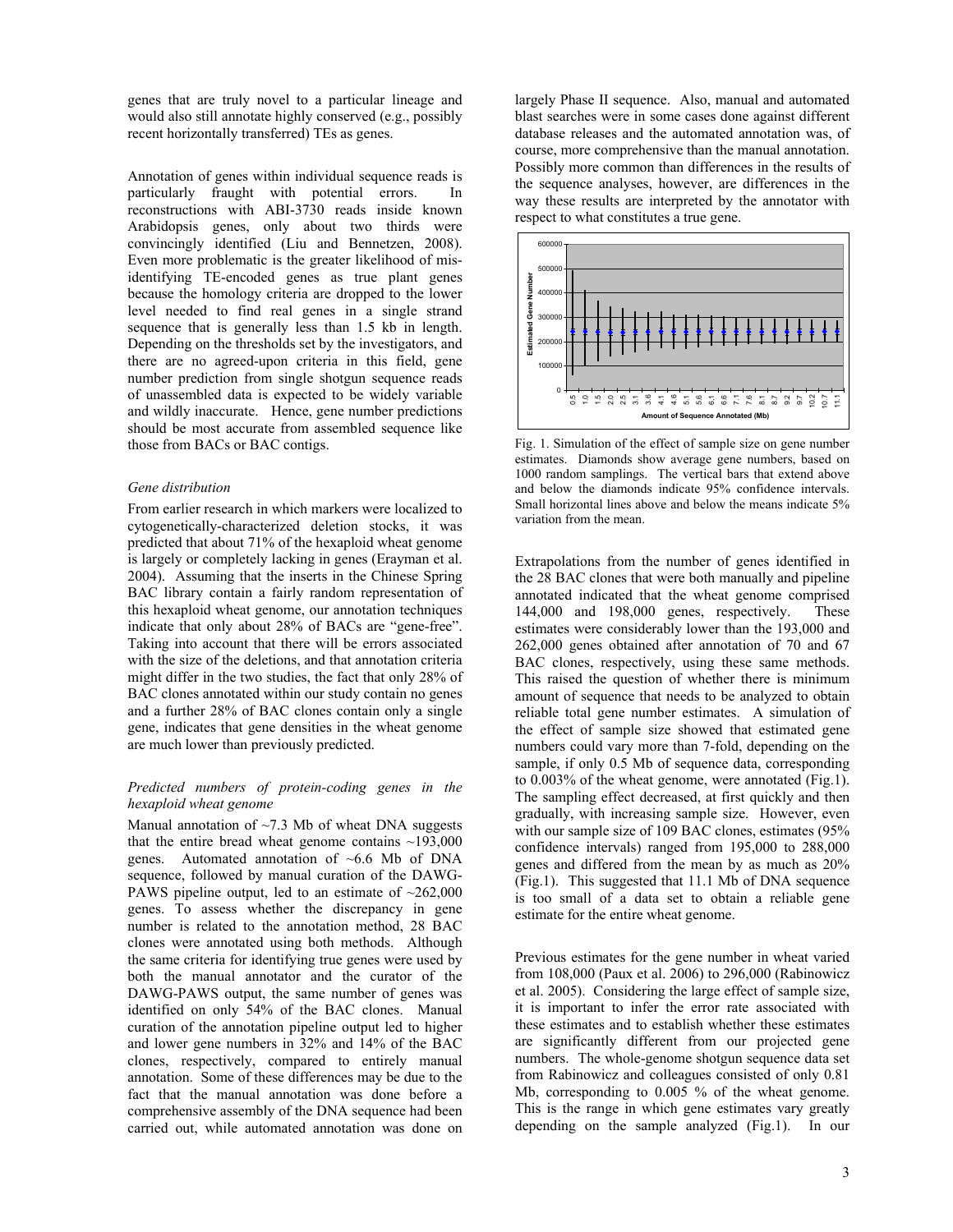genes that are truly novel to a particular lineage and would also still annotate highly conserved (e.g., possibly recent horizontally transferred) TEs as genes.

Annotation of genes within individual sequence reads is particularly fraught with potential errors. In reconstructions with ABI-3730 reads inside known Arabidopsis genes, only about two thirds were convincingly identified (Liu and Bennetzen, 2008). Even more problematic is the greater likelihood of misidentifying TE-encoded genes as true plant genes because the homology criteria are dropped to the lower level needed to find real genes in a single strand sequence that is generally less than 1.5 kb in length. Depending on the thresholds set by the investigators, and there are no agreed-upon criteria in this field, gene number prediction from single shotgun sequence reads of unassembled data is expected to be widely variable and wildly inaccurate. Hence, gene number predictions should be most accurate from assembled sequence like those from BACs or BAC contigs.

#### *Gene distribution*

From earlier research in which markers were localized to cytogenetically-characterized deletion stocks, it was predicted that about 71% of the hexaploid wheat genome is largely or completely lacking in genes (Erayman et al. 2004). Assuming that the inserts in the Chinese Spring BAC library contain a fairly random representation of this hexaploid wheat genome, our annotation techniques indicate that only about 28% of BACs are "gene-free". Taking into account that there will be errors associated with the size of the deletions, and that annotation criteria might differ in the two studies, the fact that only 28% of BAC clones annotated within our study contain no genes and a further 28% of BAC clones contain only a single gene, indicates that gene densities in the wheat genome are much lower than previously predicted.

#### *Predicted numbers of protein-coding genes in the hexaploid wheat genome*

Manual annotation of  $\sim$ 7.3 Mb of wheat DNA suggests that the entire bread wheat genome contains  $\sim$ 193,000 genes. Automated annotation of  $~6.6$  Mb of DNA sequence, followed by manual curation of the DAWG-PAWS pipeline output, led to an estimate of  $\sim$ 262,000 genes. To assess whether the discrepancy in gene number is related to the annotation method, 28 BAC clones were annotated using both methods. Although the same criteria for identifying true genes were used by both the manual annotator and the curator of the DAWG-PAWS output, the same number of genes was identified on only 54% of the BAC clones. Manual curation of the annotation pipeline output led to higher and lower gene numbers in 32% and 14% of the BAC clones, respectively, compared to entirely manual annotation. Some of these differences may be due to the fact that the manual annotation was done before a comprehensive assembly of the DNA sequence had been carried out, while automated annotation was done on

largely Phase II sequence. Also, manual and automated blast searches were in some cases done against different database releases and the automated annotation was, of course, more comprehensive than the manual annotation. Possibly more common than differences in the results of the sequence analyses, however, are differences in the way these results are interpreted by the annotator with respect to what constitutes a true gene.



Fig. 1. Simulation of the effect of sample size on gene number estimates. Diamonds show average gene numbers, based on 1000 random samplings. The vertical bars that extend above and below the diamonds indicate 95% confidence intervals. Small horizontal lines above and below the means indicate 5% variation from the mean.

Extrapolations from the number of genes identified in the 28 BAC clones that were both manually and pipeline annotated indicated that the wheat genome comprised 144,000 and 198,000 genes, respectively. These estimates were considerably lower than the 193,000 and 262,000 genes obtained after annotation of 70 and 67 BAC clones, respectively, using these same methods. This raised the question of whether there is minimum amount of sequence that needs to be analyzed to obtain reliable total gene number estimates. A simulation of the effect of sample size showed that estimated gene numbers could vary more than 7-fold, depending on the sample, if only 0.5 Mb of sequence data, corresponding to 0.003% of the wheat genome, were annotated (Fig.1). The sampling effect decreased, at first quickly and then gradually, with increasing sample size. However, even with our sample size of 109 BAC clones, estimates (95% confidence intervals) ranged from 195,000 to 288,000 genes and differed from the mean by as much as 20% (Fig.1). This suggested that 11.1 Mb of DNA sequence is too small of a data set to obtain a reliable gene estimate for the entire wheat genome.

Previous estimates for the gene number in wheat varied from 108,000 (Paux et al. 2006) to 296,000 (Rabinowicz et al. 2005). Considering the large effect of sample size, it is important to infer the error rate associated with these estimates and to establish whether these estimates are significantly different from our projected gene numbers. The whole-genome shotgun sequence data set from Rabinowicz and colleagues consisted of only 0.81 Mb, corresponding to 0.005 % of the wheat genome. This is the range in which gene estimates vary greatly depending on the sample analyzed (Fig.1). In our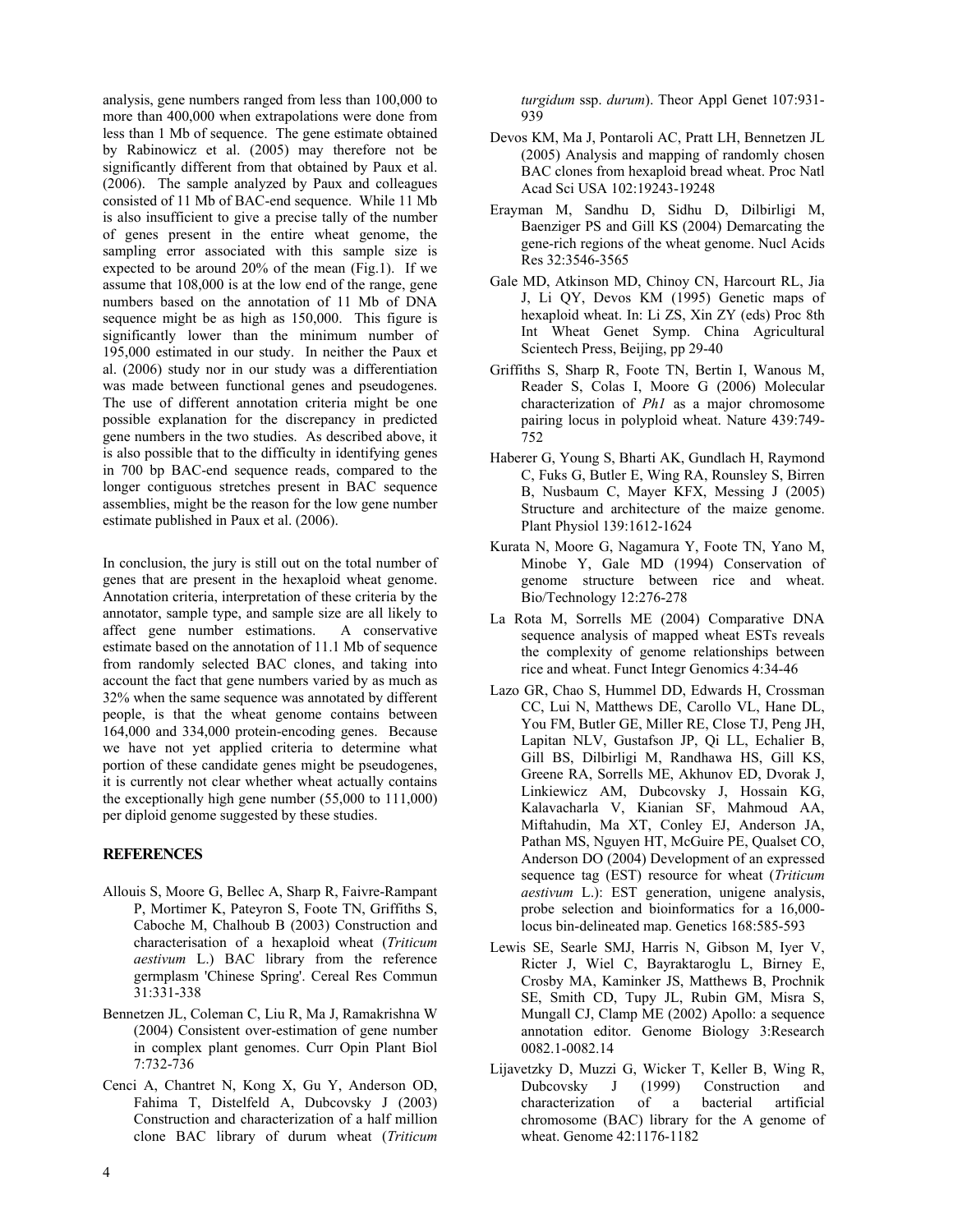analysis, gene numbers ranged from less than 100,000 to more than 400,000 when extrapolations were done from less than 1 Mb of sequence. The gene estimate obtained by Rabinowicz et al. (2005) may therefore not be significantly different from that obtained by Paux et al. (2006). The sample analyzed by Paux and colleagues consisted of 11 Mb of BAC-end sequence. While 11 Mb is also insufficient to give a precise tally of the number of genes present in the entire wheat genome, the sampling error associated with this sample size is expected to be around 20% of the mean (Fig.1). If we assume that 108,000 is at the low end of the range, gene numbers based on the annotation of 11 Mb of DNA sequence might be as high as 150,000. This figure is significantly lower than the minimum number of 195,000 estimated in our study. In neither the Paux et al. (2006) study nor in our study was a differentiation was made between functional genes and pseudogenes. The use of different annotation criteria might be one possible explanation for the discrepancy in predicted gene numbers in the two studies. As described above, it is also possible that to the difficulty in identifying genes in 700 bp BAC-end sequence reads, compared to the longer contiguous stretches present in BAC sequence assemblies, might be the reason for the low gene number estimate published in Paux et al. (2006).

In conclusion, the jury is still out on the total number of genes that are present in the hexaploid wheat genome. Annotation criteria, interpretation of these criteria by the annotator, sample type, and sample size are all likely to affect gene number estimations. A conservative estimate based on the annotation of 11.1 Mb of sequence from randomly selected BAC clones, and taking into account the fact that gene numbers varied by as much as 32% when the same sequence was annotated by different people, is that the wheat genome contains between 164,000 and 334,000 protein-encoding genes. Because we have not yet applied criteria to determine what portion of these candidate genes might be pseudogenes, it is currently not clear whether wheat actually contains the exceptionally high gene number (55,000 to 111,000) per diploid genome suggested by these studies.

## **REFERENCES**

- Allouis S, Moore G, Bellec A, Sharp R, Faivre-Rampant P, Mortimer K, Pateyron S, Foote TN, Griffiths S, Caboche M, Chalhoub B (2003) Construction and characterisation of a hexaploid wheat (*Triticum aestivum* L.) BAC library from the reference germplasm 'Chinese Spring'. Cereal Res Commun 31:331-338
- Bennetzen JL, Coleman C, Liu R, Ma J, Ramakrishna W (2004) Consistent over-estimation of gene number in complex plant genomes. Curr Opin Plant Biol 7:732-736
- Cenci A, Chantret N, Kong X, Gu Y, Anderson OD, Fahima T, Distelfeld A, Dubcovsky J (2003) Construction and characterization of a half million clone BAC library of durum wheat (*Triticum*

*turgidum* ssp. *durum*). Theor Appl Genet 107:931- 939

- Devos KM, Ma J, Pontaroli AC, Pratt LH, Bennetzen JL (2005) Analysis and mapping of randomly chosen BAC clones from hexaploid bread wheat. Proc Natl Acad Sci USA 102:19243-19248
- Erayman M, Sandhu D, Sidhu D, Dilbirligi M, Baenziger PS and Gill KS (2004) Demarcating the gene-rich regions of the wheat genome. Nucl Acids Res 32:3546-3565
- Gale MD, Atkinson MD, Chinoy CN, Harcourt RL, Jia J, Li QY, Devos KM (1995) Genetic maps of hexaploid wheat. In: Li ZS, Xin ZY (eds) Proc 8th Int Wheat Genet Symp. China Agricultural Scientech Press, Beijing, pp 29-40
- Griffiths S, Sharp R, Foote TN, Bertin I, Wanous M, Reader S, Colas I, Moore G (2006) Molecular characterization of *Ph1* as a major chromosome pairing locus in polyploid wheat. Nature 439:749- 752
- Haberer G, Young S, Bharti AK, Gundlach H, Raymond C, Fuks G, Butler E, Wing RA, Rounsley S, Birren B, Nusbaum C, Mayer KFX, Messing J (2005) Structure and architecture of the maize genome. Plant Physiol 139:1612-1624
- Kurata N, Moore G, Nagamura Y, Foote TN, Yano M, Minobe Y, Gale MD (1994) Conservation of genome structure between rice and wheat. Bio/Technology 12:276-278
- La Rota M, Sorrells ME (2004) Comparative DNA sequence analysis of mapped wheat ESTs reveals the complexity of genome relationships between rice and wheat. Funct Integr Genomics 4:34-46
- Lazo GR, Chao S, Hummel DD, Edwards H, Crossman CC, Lui N, Matthews DE, Carollo VL, Hane DL, You FM, Butler GE, Miller RE, Close TJ, Peng JH, Lapitan NLV, Gustafson JP, Qi LL, Echalier B, Gill BS, Dilbirligi M, Randhawa HS, Gill KS, Greene RA, Sorrells ME, Akhunov ED, Dvorak J, Linkiewicz AM, Dubcovsky J, Hossain KG, Kalavacharla V, Kianian SF, Mahmoud AA, Miftahudin, Ma XT, Conley EJ, Anderson JA, Pathan MS, Nguyen HT, McGuire PE, Qualset CO, Anderson DO (2004) Development of an expressed sequence tag (EST) resource for wheat (*Triticum aestivum* L.): EST generation, unigene analysis, probe selection and bioinformatics for a 16,000 locus bin-delineated map. Genetics 168:585-593
- Lewis SE, Searle SMJ, Harris N, Gibson M, Iyer V, Ricter J, Wiel C, Bayraktaroglu L, Birney E, Crosby MA, Kaminker JS, Matthews B, Prochnik SE, Smith CD, Tupy JL, Rubin GM, Misra S, Mungall CJ, Clamp ME (2002) Apollo: a sequence annotation editor. Genome Biology 3:Research 0082.1-0082.14
- Lijavetzky D, Muzzi G, Wicker T, Keller B, Wing R,<br>Dubcovsky J (1999) Construction and Dubcovsky J (1999) Construction and characterization of a bacterial artificial chromosome (BAC) library for the A genome of wheat. Genome 42:1176-1182